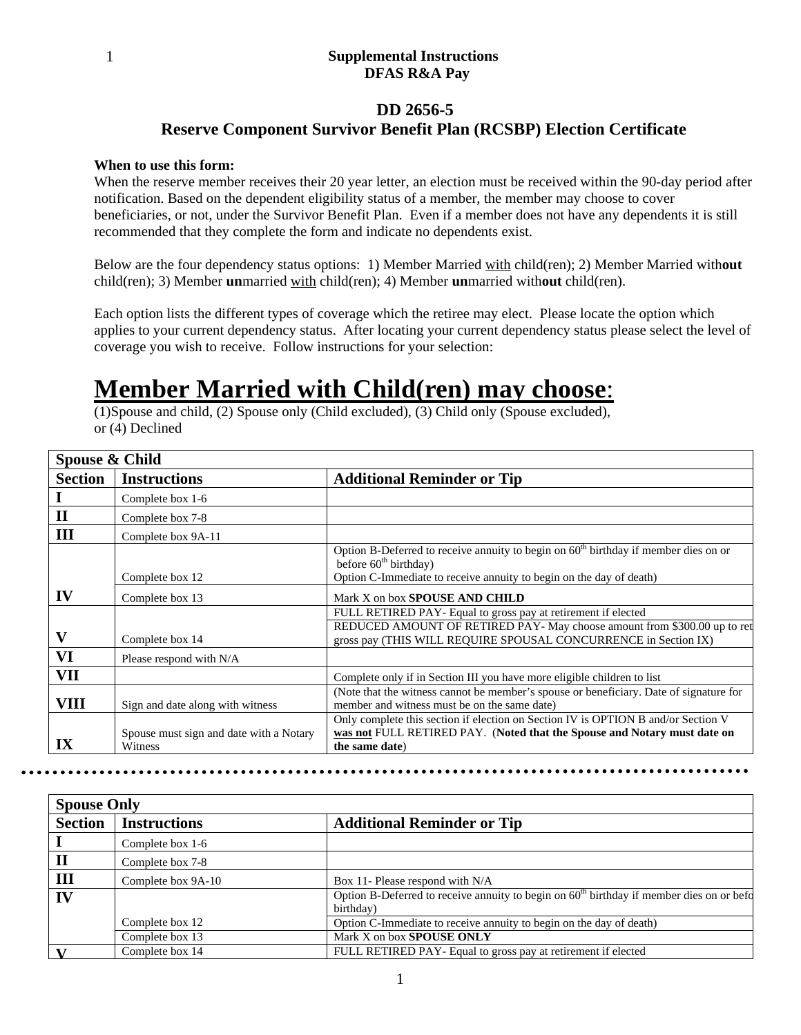#### **Supplemental Instructions DFAS R&A Pay**

#### **DD 2656-5**

### **Reserve Component Survivor Benefit Plan (RCSBP) Election Certificate**

#### **When to use this form:**

When the reserve member receives their 20 year letter, an election must be received within the 90-day period after notification. Based on the dependent eligibility status of a member, the member may choose to cover beneficiaries, or not, under the Survivor Benefit Plan. Even if a member does not have any dependents it is still recommended that they complete the form and indicate no dependents exist.

Below are the four dependency status options: 1) Member Married with child(ren); 2) Member Married with**out** child(ren); 3) Member **un**married with child(ren); 4) Member **un**married with**out** child(ren).

Each option lists the different types of coverage which the retiree may elect. Please locate the option which applies to your current dependency status. After locating your current dependency status please select the level of coverage you wish to receive. Follow instructions for your selection:

## **Member Married with Child(ren) may choose**:

(1)Spouse and child, (2) Spouse only (Child excluded), (3) Child only (Spouse excluded), or (4) Declined

| Spouse & Child |                                                    |                                                                                                                                             |
|----------------|----------------------------------------------------|---------------------------------------------------------------------------------------------------------------------------------------------|
| <b>Section</b> | <b>Instructions</b>                                | <b>Additional Reminder or Tip</b>                                                                                                           |
|                | Complete box 1-6                                   |                                                                                                                                             |
| $\mathbf H$    | Complete box 7-8                                   |                                                                                                                                             |
| III            | Complete box 9A-11                                 |                                                                                                                                             |
|                |                                                    | Option B-Deferred to receive annuity to begin on $60th$ birthday if member dies on or<br>before $60th$ birthday)                            |
|                | Complete box 12                                    | Option C-Immediate to receive annuity to begin on the day of death)                                                                         |
| $\bf{IV}$      | Complete box 13                                    | Mark X on box <b>SPOUSE AND CHILD</b>                                                                                                       |
|                |                                                    | FULL RETIRED PAY- Equal to gross pay at retirement if elected                                                                               |
| V              | Complete box 14                                    | REDUCED AMOUNT OF RETIRED PAY- May choose amount from \$300.00 up to ret<br>gross pay (THIS WILL REQUIRE SPOUSAL CONCURRENCE in Section IX) |
| VI             | Please respond with N/A                            |                                                                                                                                             |
| <b>VII</b>     |                                                    | Complete only if in Section III you have more eligible children to list                                                                     |
| <b>VIII</b>    | Sign and date along with witness                   | (Note that the witness cannot be member's spouse or beneficiary. Date of signature for<br>member and witness must be on the same date)      |
|                |                                                    | Only complete this section if election on Section IV is OPTION B and/or Section V                                                           |
| IX             | Spouse must sign and date with a Notary<br>Witness | was not FULL RETIRED PAY. (Noted that the Spouse and Notary must date on<br>the same date)                                                  |

| <b>Spouse Only</b> |                     |                                                                                                                     |
|--------------------|---------------------|---------------------------------------------------------------------------------------------------------------------|
| <b>Section</b>     | <b>Instructions</b> | <b>Additional Reminder or Tip</b>                                                                                   |
|                    | Complete box 1-6    |                                                                                                                     |
| $\mathbf H$        | Complete box 7-8    |                                                                                                                     |
| III                | Complete box 9A-10  | Box 11- Please respond with N/A                                                                                     |
| IV                 |                     | Option B-Deferred to receive annuity to begin on 60 <sup>th</sup> birthday if member dies on or before<br>birthday) |
|                    | Complete box 12     | Option C-Immediate to receive annuity to begin on the day of death)                                                 |
|                    | Complete box 13     | Mark X on box <b>SPOUSE ONLY</b>                                                                                    |
|                    | Complete box 14     | FULL RETIRED PAY- Equal to gross pay at retirement if elected                                                       |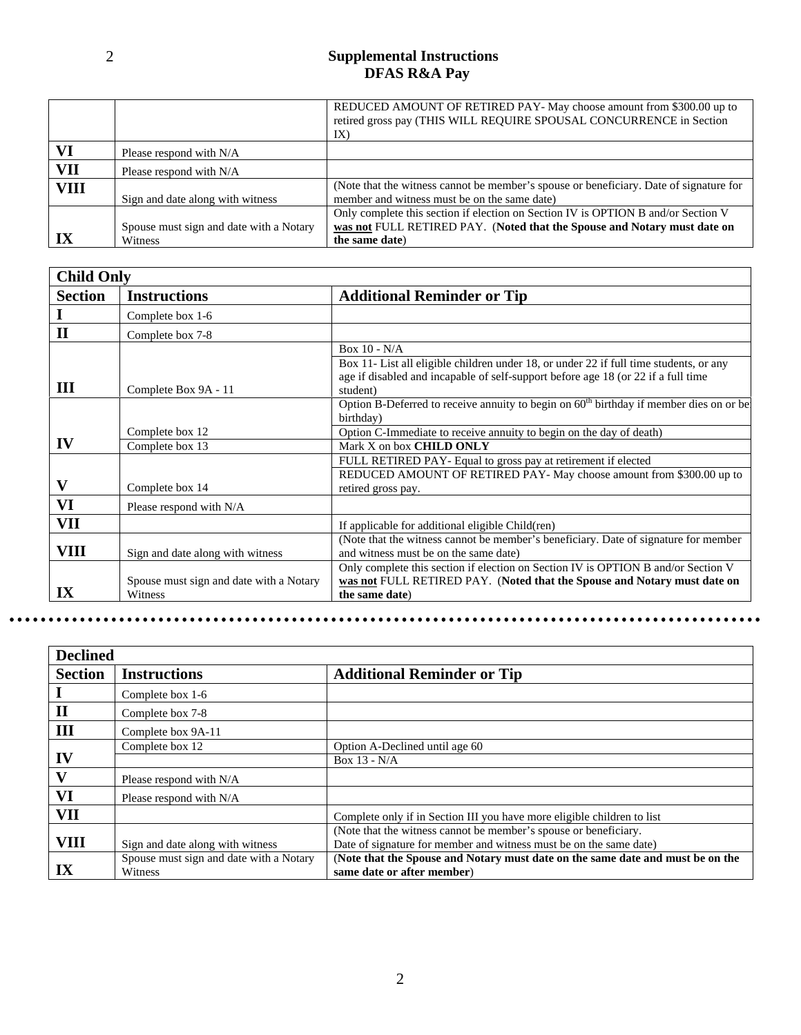#### **Supplemental Instructions DFAS R&A Pay**

|             |                                                    | REDUCED AMOUNT OF RETIRED PAY- May choose amount from \$300.00 up to<br>retired gross pay (THIS WILL REQUIRE SPOUSAL CONCURRENCE in Section<br>IX)                              |
|-------------|----------------------------------------------------|---------------------------------------------------------------------------------------------------------------------------------------------------------------------------------|
| VI          | Please respond with N/A                            |                                                                                                                                                                                 |
| VII         | Please respond with N/A                            |                                                                                                                                                                                 |
| <b>VIII</b> | Sign and date along with witness                   | (Note that the witness cannot be member's spouse or beneficiary. Date of signature for<br>member and witness must be on the same date)                                          |
|             | Spouse must sign and date with a Notary<br>Witness | Only complete this section if election on Section IV is OPTION B and/or Section V<br>was not FULL RETIRED PAY. (Noted that the Spouse and Notary must date on<br>the same date) |

|                | <b>Child Only</b>                       |                                                                                               |  |
|----------------|-----------------------------------------|-----------------------------------------------------------------------------------------------|--|
| <b>Section</b> | <b>Instructions</b>                     | <b>Additional Reminder or Tip</b>                                                             |  |
|                | Complete box 1-6                        |                                                                                               |  |
| $\mathbf{I}$   | Complete box 7-8                        |                                                                                               |  |
|                |                                         | Box $10 - N/A$                                                                                |  |
|                |                                         | Box 11- List all eligible children under 18, or under 22 if full time students, or any        |  |
| Ш              | Complete Box 9A - 11                    | age if disabled and incapable of self-support before age 18 (or 22 if a full time<br>student) |  |
|                |                                         | Option B-Deferred to receive annuity to begin on $60th$ birthday if member dies on or be      |  |
|                |                                         | birthday)                                                                                     |  |
|                | Complete box 12                         | Option C-Immediate to receive annuity to begin on the day of death)                           |  |
| IV             | Complete box 13                         | Mark X on box CHILD ONLY                                                                      |  |
|                |                                         | FULL RETIRED PAY- Equal to gross pay at retirement if elected                                 |  |
|                |                                         | REDUCED AMOUNT OF RETIRED PAY- May choose amount from \$300.00 up to                          |  |
| V              | Complete box 14                         | retired gross pay.                                                                            |  |
| VI             | Please respond with N/A                 |                                                                                               |  |
| VII            |                                         | If applicable for additional eligible Child(ren)                                              |  |
|                |                                         | (Note that the witness cannot be member's beneficiary. Date of signature for member           |  |
| VIII           | Sign and date along with witness        | and witness must be on the same date)                                                         |  |
|                |                                         | Only complete this section if election on Section IV is OPTION B and/or Section V             |  |
|                | Spouse must sign and date with a Notary | was not FULL RETIRED PAY. (Noted that the Spouse and Notary must date on                      |  |
| IX             | Witness                                 | the same date)                                                                                |  |

| <b>Declined</b> |                                         |                                                                                |
|-----------------|-----------------------------------------|--------------------------------------------------------------------------------|
| <b>Section</b>  | <b>Instructions</b>                     | <b>Additional Reminder or Tip</b>                                              |
|                 | Complete box 1-6                        |                                                                                |
| $\mathbf{I}$    | Complete box 7-8                        |                                                                                |
| Ш               | Complete box 9A-11                      |                                                                                |
|                 | Complete box 12                         | Option A-Declined until age 60                                                 |
| IV              |                                         | Box 13 - N/A                                                                   |
| $\mathbf v$     | Please respond with N/A                 |                                                                                |
| VI              | Please respond with N/A                 |                                                                                |
| VII             |                                         | Complete only if in Section III you have more eligible children to list        |
|                 |                                         | (Note that the witness cannot be member's spouse or beneficiary.               |
| <b>VIII</b>     | Sign and date along with witness        | Date of signature for member and witness must be on the same date)             |
|                 | Spouse must sign and date with a Notary | (Note that the Spouse and Notary must date on the same date and must be on the |
| IX              | Witness                                 | same date or after member)                                                     |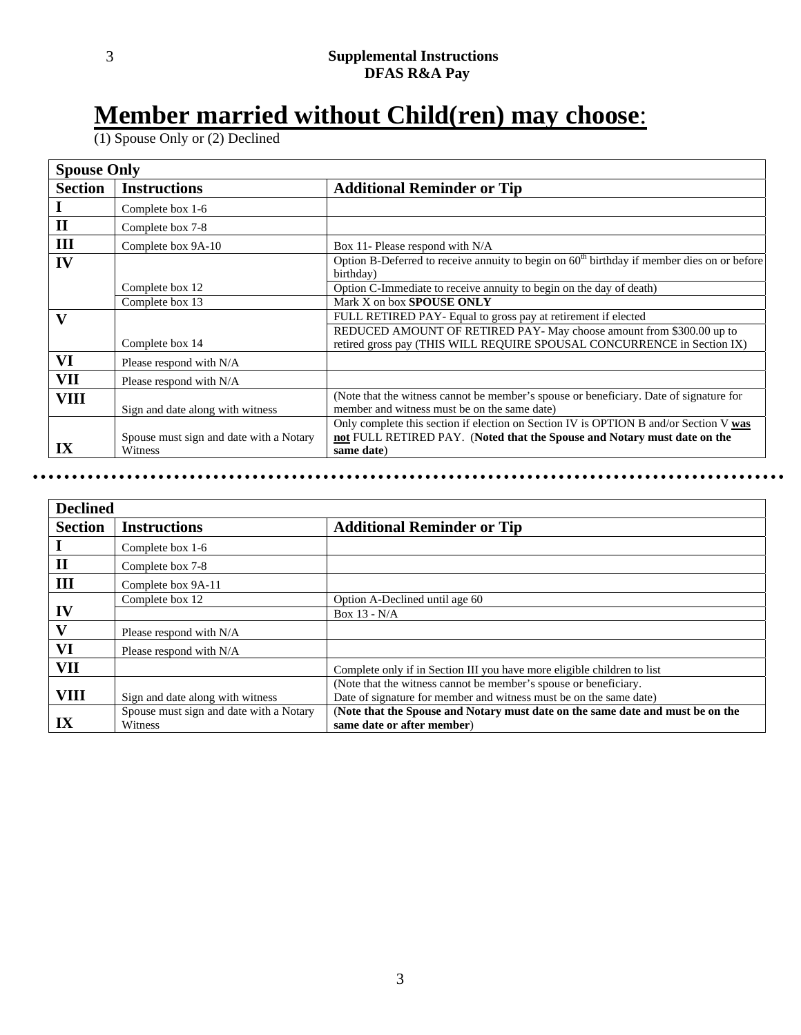# **Member married without Child(ren) may choose**:

(1) Spouse Only or (2) Declined

| <b>Spouse Only</b> |                                         |                                                                                                                                        |
|--------------------|-----------------------------------------|----------------------------------------------------------------------------------------------------------------------------------------|
| <b>Section</b>     | <b>Instructions</b>                     | <b>Additional Reminder or Tip</b>                                                                                                      |
|                    | Complete box 1-6                        |                                                                                                                                        |
| $\mathbf{I}$       | Complete box 7-8                        |                                                                                                                                        |
| III                | Complete box 9A-10                      | Box 11- Please respond with N/A                                                                                                        |
| IV                 |                                         | Option B-Deferred to receive annuity to begin on $60th$ birthday if member dies on or before<br>birthday)                              |
|                    | Complete box 12                         | Option C-Immediate to receive annuity to begin on the day of death)                                                                    |
|                    | Complete box 13                         | Mark X on box <b>SPOUSE ONLY</b>                                                                                                       |
| $\mathbf v$        |                                         | FULL RETIRED PAY- Equal to gross pay at retirement if elected                                                                          |
|                    |                                         | REDUCED AMOUNT OF RETIRED PAY- May choose amount from \$300.00 up to                                                                   |
|                    | Complete box 14                         | retired gross pay (THIS WILL REQUIRE SPOUSAL CONCURRENCE in Section IX)                                                                |
| VI                 | Please respond with N/A                 |                                                                                                                                        |
| <b>VII</b>         | Please respond with N/A                 |                                                                                                                                        |
| <b>VIII</b>        | Sign and date along with witness        | (Note that the witness cannot be member's spouse or beneficiary. Date of signature for<br>member and witness must be on the same date) |
|                    |                                         | Only complete this section if election on Section IV is OPTION B and/or Section V was                                                  |
|                    | Spouse must sign and date with a Notary | not FULL RETIRED PAY. (Noted that the Spouse and Notary must date on the                                                               |
| IX                 | Witness                                 | same date)                                                                                                                             |

| <b>Declined</b> |                                         |                                                                                |
|-----------------|-----------------------------------------|--------------------------------------------------------------------------------|
| <b>Section</b>  | <b>Instructions</b>                     | <b>Additional Reminder or Tip</b>                                              |
|                 | Complete box 1-6                        |                                                                                |
| $\mathbf{I}$    | Complete box 7-8                        |                                                                                |
| III             | Complete box 9A-11                      |                                                                                |
|                 | Complete box 12                         | Option A-Declined until age 60                                                 |
| IV              |                                         | Box $13 - N/A$                                                                 |
|                 | Please respond with N/A                 |                                                                                |
| VI              | Please respond with N/A                 |                                                                                |
| VII             |                                         | Complete only if in Section III you have more eligible children to list        |
|                 |                                         | (Note that the witness cannot be member's spouse or beneficiary.               |
| VIII            | Sign and date along with witness        | Date of signature for member and witness must be on the same date)             |
|                 | Spouse must sign and date with a Notary | (Note that the Spouse and Notary must date on the same date and must be on the |
| IX              | Witness                                 | same date or after member)                                                     |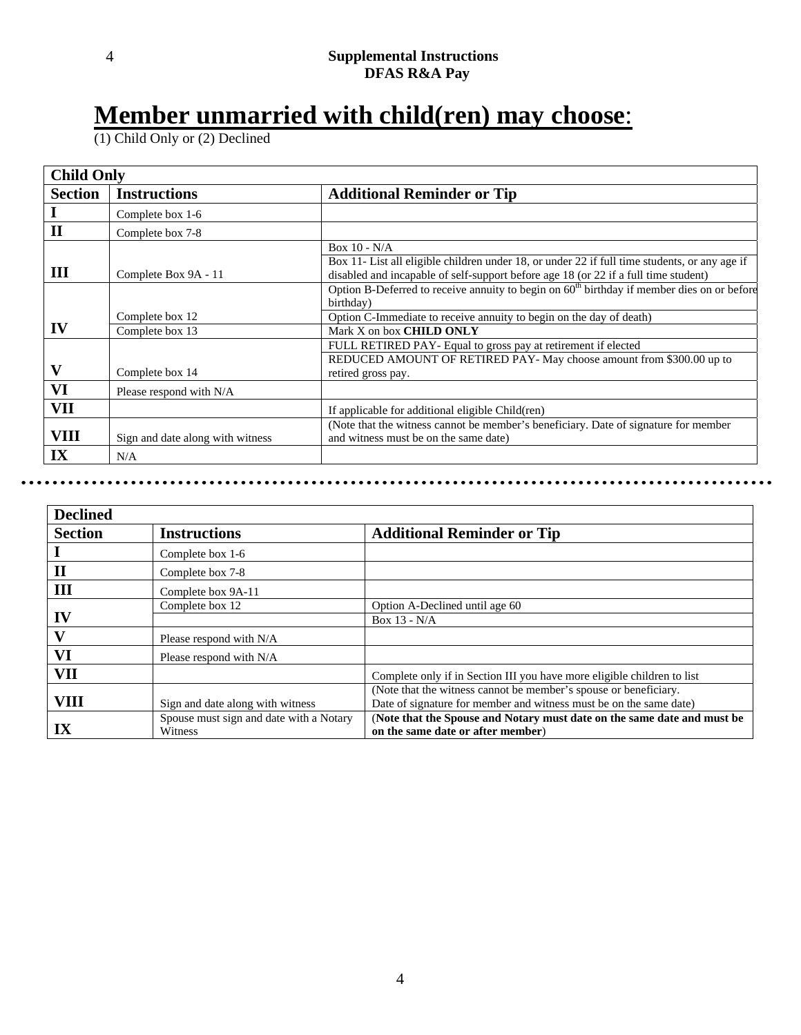# **Member unmarried with child(ren) may choose**:

(1) Child Only or (2) Declined

| <b>Child Only</b> |                                  |                                                                                                                                                                                                        |
|-------------------|----------------------------------|--------------------------------------------------------------------------------------------------------------------------------------------------------------------------------------------------------|
| <b>Section</b>    | <b>Instructions</b>              | <b>Additional Reminder or Tip</b>                                                                                                                                                                      |
|                   | Complete box 1-6                 |                                                                                                                                                                                                        |
| $\mathbf{I}$      | Complete box 7-8                 |                                                                                                                                                                                                        |
| Ш                 | Complete Box 9A - 11             | Box $10 - N/A$<br>Box 11- List all eligible children under 18, or under 22 if full time students, or any age if<br>disabled and incapable of self-support before age 18 (or 22 if a full time student) |
|                   | Complete box 12                  | Option B-Deferred to receive annuity to begin on 60 <sup>th</sup> birthday if member dies on or before<br>birthday)<br>Option C-Immediate to receive annuity to begin on the day of death)             |
| IV                | Complete box 13                  | Mark X on box CHILD ONLY                                                                                                                                                                               |
| $\mathbf v$       | Complete box 14                  | FULL RETIRED PAY- Equal to gross pay at retirement if elected<br>REDUCED AMOUNT OF RETIRED PAY- May choose amount from \$300.00 up to<br>retired gross pay.                                            |
| VI                | Please respond with N/A          |                                                                                                                                                                                                        |
| <b>VII</b>        |                                  | If applicable for additional eligible Child(ren)                                                                                                                                                       |
| VIII              | Sign and date along with witness | (Note that the witness cannot be member's beneficiary. Date of signature for member<br>and witness must be on the same date)                                                                           |
| IX                | N/A                              |                                                                                                                                                                                                        |

| <b>Declined</b>         |                                         |                                                                         |
|-------------------------|-----------------------------------------|-------------------------------------------------------------------------|
| <b>Section</b>          | <b>Instructions</b>                     | <b>Additional Reminder or Tip</b>                                       |
|                         | Complete box 1-6                        |                                                                         |
| $\mathbf{I}$            | Complete box 7-8                        |                                                                         |
| III                     | Complete box 9A-11                      |                                                                         |
|                         | Complete box 12                         | Option A-Declined until age 60                                          |
| IV                      |                                         | Box $13 - N/A$                                                          |
| V                       | Please respond with N/A                 |                                                                         |
| VI                      | Please respond with N/A                 |                                                                         |
| <b>VII</b>              |                                         | Complete only if in Section III you have more eligible children to list |
|                         |                                         | (Note that the witness cannot be member's spouse or beneficiary.        |
| <b>VIII</b>             | Sign and date along with witness        | Date of signature for member and witness must be on the same date)      |
|                         | Spouse must sign and date with a Notary | (Note that the Spouse and Notary must date on the same date and must be |
| $\mathbf{I} \mathbf{X}$ | Witness                                 | on the same date or after member)                                       |